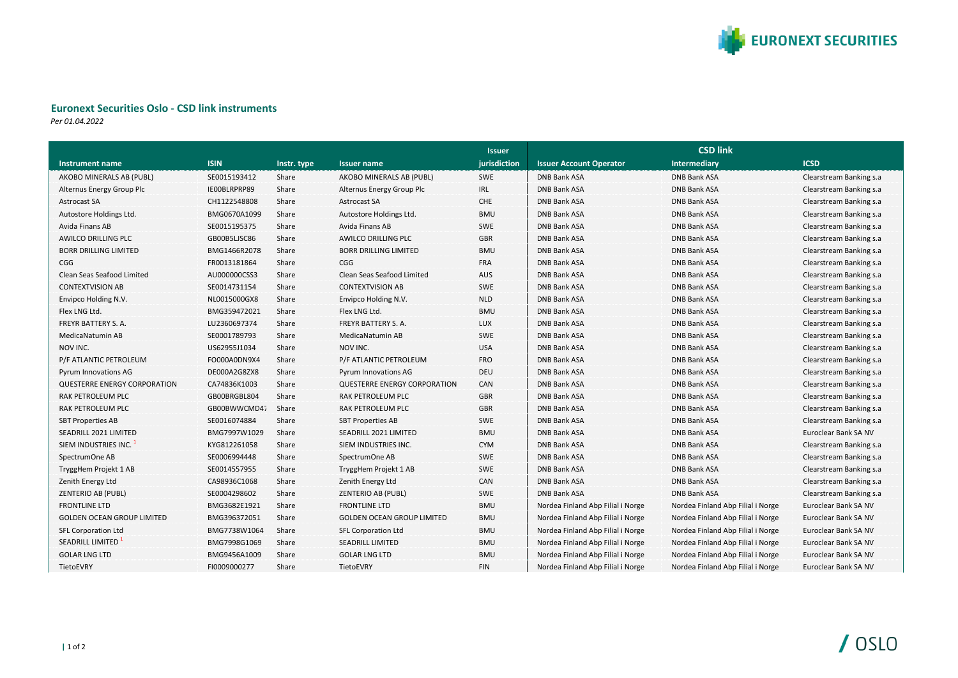

## **Euronext Securities Oslo - CSD link instruments**

*Per 01.04.2022*

|                                     |              |             |                                     | <b>Issuer</b> | <b>CSD link</b>                   |                                   |                         |
|-------------------------------------|--------------|-------------|-------------------------------------|---------------|-----------------------------------|-----------------------------------|-------------------------|
| Instrument name                     | <b>ISIN</b>  | Instr. type | <b>Issuer name</b>                  | jurisdiction  | <b>Issuer Account Operator</b>    | Intermediary                      | <b>ICSD</b>             |
| AKOBO MINERALS AB (PUBL)            | SE0015193412 | Share       | AKOBO MINERALS AB (PUBL)            | <b>SWE</b>    | <b>DNB Bank ASA</b>               | <b>DNB Bank ASA</b>               | Clearstream Banking s.a |
| Alternus Energy Group Plc           | IE00BLRPRP89 | Share       | Alternus Energy Group Plc           | IRL           | <b>DNB Bank ASA</b>               | <b>DNB Bank ASA</b>               | Clearstream Banking s.a |
| Astrocast SA                        | CH1122548808 | Share       | <b>Astrocast SA</b>                 | CHE           | <b>DNB Bank ASA</b>               | <b>DNB Bank ASA</b>               | Clearstream Banking s.a |
| Autostore Holdings Ltd.             | BMG0670A1099 | Share       | Autostore Holdings Ltd.             | <b>BMU</b>    | <b>DNB Bank ASA</b>               | <b>DNB Bank ASA</b>               | Clearstream Banking s.a |
| Avida Finans AB                     | SE0015195375 | Share       | Avida Finans AB                     | <b>SWE</b>    | <b>DNB Bank ASA</b>               | <b>DNB Bank ASA</b>               | Clearstream Banking s.a |
| <b>AWILCO DRILLING PLC</b>          | GB00B5LJSC86 | Share       | <b>AWILCO DRILLING PLC</b>          | <b>GBR</b>    | <b>DNB Bank ASA</b>               | <b>DNB Bank ASA</b>               | Clearstream Banking s.a |
| <b>BORR DRILLING LIMITED</b>        | BMG1466R2078 | Share       | <b>BORR DRILLING LIMITED</b>        | <b>BMU</b>    | <b>DNB Bank ASA</b>               | <b>DNB Bank ASA</b>               | Clearstream Banking s.a |
| <b>CGG</b>                          | FR0013181864 | Share       | CGG                                 | <b>FRA</b>    | <b>DNB Bank ASA</b>               | <b>DNB Bank ASA</b>               | Clearstream Banking s.a |
| Clean Seas Seafood Limited          | AU000000CSS3 | Share       | Clean Seas Seafood Limited          | <b>AUS</b>    | <b>DNB Bank ASA</b>               | <b>DNB Bank ASA</b>               | Clearstream Banking s.a |
| <b>CONTEXTVISION AB</b>             | SE0014731154 | Share       | <b>CONTEXTVISION AB</b>             | <b>SWE</b>    | <b>DNB Bank ASA</b>               | <b>DNB Bank ASA</b>               | Clearstream Banking s.a |
| Envipco Holding N.V.                | NL0015000GX8 | Share       | Envipco Holding N.V.                | <b>NLD</b>    | <b>DNB Bank ASA</b>               | <b>DNB Bank ASA</b>               | Clearstream Banking s.a |
| Flex LNG Ltd.                       | BMG359472021 | Share       | Flex LNG Ltd.                       | <b>BMU</b>    | <b>DNB Bank ASA</b>               | <b>DNB Bank ASA</b>               | Clearstream Banking s.a |
| FREYR BATTERY S. A.                 | LU2360697374 | Share       | FREYR BATTERY S. A.                 | <b>LUX</b>    | <b>DNB Bank ASA</b>               | <b>DNB Bank ASA</b>               | Clearstream Banking s.a |
| MedicaNatumin AB                    | SE0001789793 | Share       | MedicaNatumin AB                    | <b>SWE</b>    | <b>DNB Bank ASA</b>               | <b>DNB Bank ASA</b>               | Clearstream Banking s.a |
| NOV INC.                            | US62955J1034 | Share       | NOV INC.                            | <b>USA</b>    | <b>DNB Bank ASA</b>               | <b>DNB Bank ASA</b>               | Clearstream Banking s.a |
| P/F ATLANTIC PETROLEUM              | FO000A0DN9X4 | Share       | P/F ATLANTIC PETROLEUM              | <b>FRO</b>    | <b>DNB Bank ASA</b>               | <b>DNB Bank ASA</b>               | Clearstream Banking s.a |
| Pyrum Innovations AG                | DE000A2G8ZX8 | Share       | Pyrum Innovations AG                | <b>DEU</b>    | DNB Bank ASA                      | <b>DNB Bank ASA</b>               | Clearstream Banking s.a |
| <b>QUESTERRE ENERGY CORPORATION</b> | CA74836K1003 | Share       | <b>QUESTERRE ENERGY CORPORATION</b> | CAN           | <b>DNB Bank ASA</b>               | <b>DNB Bank ASA</b>               | Clearstream Banking s.a |
| RAK PETROLEUM PLC                   | GB00BRGBL804 | Share       | RAK PETROLEUM PLC                   | <b>GBR</b>    | <b>DNB Bank ASA</b>               | <b>DNB Bank ASA</b>               | Clearstream Banking s.a |
| RAK PETROLEUM PLC                   | GB00BWWCMD47 | Share       | RAK PETROLEUM PLC                   | <b>GBR</b>    | <b>DNB Bank ASA</b>               | <b>DNB Bank ASA</b>               | Clearstream Banking s.a |
| <b>SBT Properties AB</b>            | SE0016074884 | Share       | <b>SBT Properties AB</b>            | <b>SWE</b>    | <b>DNB Bank ASA</b>               | <b>DNB Bank ASA</b>               | Clearstream Banking s.a |
| SEADRILL 2021 LIMITED               | BMG7997W1029 | Share       | SEADRILL 2021 LIMITED               | <b>BMU</b>    | <b>DNB Bank ASA</b>               | <b>DNB Bank ASA</b>               | Euroclear Bank SA NV    |
| SIEM INDUSTRIES INC.                | KYG812261058 | Share       | SIEM INDUSTRIES INC.                | <b>CYM</b>    | <b>DNB Bank ASA</b>               | <b>DNB Bank ASA</b>               | Clearstream Banking s.a |
| SpectrumOne AB                      | SE0006994448 | Share       | SpectrumOne AB                      | SWE           | <b>DNB Bank ASA</b>               | <b>DNB Bank ASA</b>               | Clearstream Banking s.a |
| TryggHem Projekt 1 AB               | SE0014557955 | Share       | TryggHem Projekt 1 AB               | SWE           | <b>DNB Bank ASA</b>               | <b>DNB Bank ASA</b>               | Clearstream Banking s.a |
| Zenith Energy Ltd                   | CA98936C1068 | Share       | Zenith Energy Ltd                   | CAN           | <b>DNB Bank ASA</b>               | <b>DNB Bank ASA</b>               | Clearstream Banking s.a |
| <b>ZENTERIO AB (PUBL)</b>           | SE0004298602 | Share       | <b>ZENTERIO AB (PUBL)</b>           | <b>SWE</b>    | <b>DNB Bank ASA</b>               | <b>DNB Bank ASA</b>               | Clearstream Banking s.a |
| <b>FRONTLINE LTD</b>                | BMG3682E1921 | Share       | <b>FRONTLINE LTD</b>                | <b>BMU</b>    | Nordea Finland Abp Filial i Norge | Nordea Finland Abp Filial i Norge | Euroclear Bank SA NV    |
| <b>GOLDEN OCEAN GROUP LIMITED</b>   | BMG396372051 | Share       | <b>GOLDEN OCEAN GROUP LIMITED</b>   | <b>BMU</b>    | Nordea Finland Abp Filial i Norge | Nordea Finland Abp Filial i Norge | Euroclear Bank SA NV    |
| SFL Corporation Ltd                 | BMG7738W1064 | Share       | <b>SFL Corporation Ltd</b>          | <b>BMU</b>    | Nordea Finland Abp Filial i Norge | Nordea Finland Abp Filial i Norge | Euroclear Bank SA NV    |
| SEADRILL LIMITED                    | BMG7998G1069 | Share       | <b>SEADRILL LIMITED</b>             | <b>BMU</b>    | Nordea Finland Abp Filial i Norge | Nordea Finland Abp Filial i Norge | Euroclear Bank SA NV    |
| <b>GOLAR LNG LTD</b>                | BMG9456A1009 | Share       | <b>GOLAR LNG LTD</b>                | <b>BMU</b>    | Nordea Finland Abp Filial i Norge | Nordea Finland Abp Filial i Norge | Euroclear Bank SA NV    |
| TietoEVRY                           | FI0009000277 | Share       | TietoEVRY                           | <b>FIN</b>    | Nordea Finland Abp Filial i Norge | Nordea Finland Abp Filial i Norge | Euroclear Bank SA NV    |